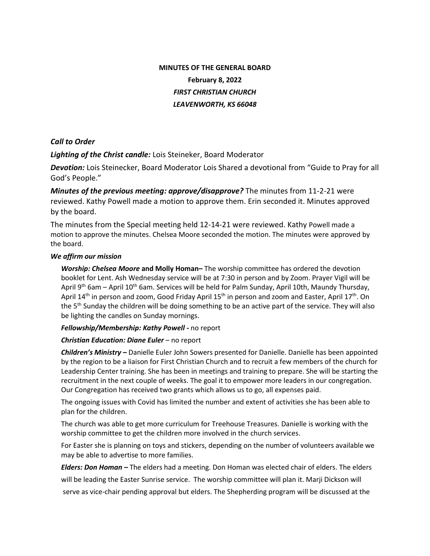# **MINUTES OF THE GENERAL BOARD February 8, 2022** *FIRST CHRISTIAN CHURCH LEAVENWORTH, KS 66048*

## *Call to Order*

*Lighting of the Christ candle:* Lois Steineker, Board Moderator

*Devotion:* Lois Steinecker, Board Moderator Lois Shared a devotional from "Guide to Pray for all God's People."

*Minutes of the previous meeting: approve/disapprove?* The minutes from 11-2-21 were reviewed. Kathy Powell made a motion to approve them. Erin seconded it. Minutes approved by the board.

The minutes from the Special meeting held 12-14-21 were reviewed. Kathy Powell made a motion to approve the minutes. Chelsea Moore seconded the motion. The minutes were approved by the board.

### *We affirm our mission*

*Worship: Chelsea Moore* **and Molly Homan–** The worship committee has ordered the devotion booklet for Lent. Ash Wednesday service will be at 7:30 in person and by Zoom. Prayer Vigil will be April 9<sup>th</sup> 6am – April 10<sup>th</sup> 6am. Services will be held for Palm Sunday, April 10th, Maundy Thursday, April 14<sup>th</sup> in person and zoom, Good Friday April 15<sup>th</sup> in person and zoom and Easter, April 17<sup>th</sup>. On the 5<sup>th</sup> Sunday the children will be doing something to be an active part of the service. They will also be lighting the candles on Sunday mornings.

### *Fellowship/Membership: Kathy Powell -* no report

### *Christian Education: Diane Euler* – no report

*Children's Ministry* **–** Danielle Euler John Sowers presented for Danielle. Danielle has been appointed by the region to be a liaison for First Christian Church and to recruit a few members of the church for Leadership Center training. She has been in meetings and training to prepare. She will be starting the recruitment in the next couple of weeks. The goal it to empower more leaders in our congregation. Our Congregation has received two grants which allows us to go, all expenses paid.

The ongoing issues with Covid has limited the number and extent of activities she has been able to plan for the children.

The church was able to get more curriculum for Treehouse Treasures. Danielle is working with the worship committee to get the children more involved in the church services.

For Easter she is planning on toys and stickers, depending on the number of volunteers available we may be able to advertise to more families.

 *Elders: Don Homan –* The elders had a meeting. Don Homan was elected chair of elders. The elders will be leading the Easter Sunrise service. The worship committee will plan it. Marji Dickson will serve as vice-chair pending approval but elders. The Shepherding program will be discussed at the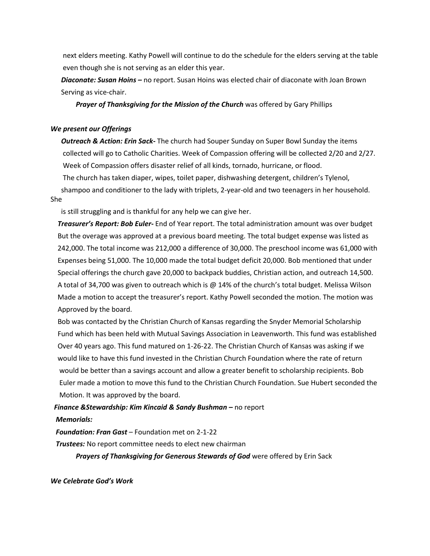next elders meeting. Kathy Powell will continue to do the schedule for the elders serving at the table even though she is not serving as an elder this year.

 *Diaconate: Susan Hoins –* no report. Susan Hoins was elected chair of diaconate with Joan Brown Serving as vice-chair.

*Prayer of Thanksgiving for the Mission of the Church* was offered by Gary Phillips

#### *We present our Offerings*

 *Outreach & Action: Erin Sack-* The church had Souper Sunday on Super Bowl Sunday the items collected will go to Catholic Charities. Week of Compassion offering will be collected 2/20 and 2/27. Week of Compassion offers disaster relief of all kinds, tornado, hurricane, or flood.

The church has taken diaper, wipes, toilet paper, dishwashing detergent, children's Tylenol,

 shampoo and conditioner to the lady with triplets, 2-year-old and two teenagers in her household. She

is still struggling and is thankful for any help we can give her.

 *Treasurer's Report: Bob Euler-* End of Year report. The total administration amount was over budget But the overage was approved at a previous board meeting. The total budget expense was listed as 242,000. The total income was 212,000 a difference of 30,000. The preschool income was 61,000 with Expenses being 51,000. The 10,000 made the total budget deficit 20,000. Bob mentioned that under Special offerings the church gave 20,000 to backpack buddies, Christian action, and outreach 14,500. A total of 34,700 was given to outreach which is @ 14% of the church's total budget. Melissa Wilson Made a motion to accept the treasurer's report. Kathy Powell seconded the motion. The motion was Approved by the board.

 Bob was contacted by the Christian Church of Kansas regarding the Snyder Memorial Scholarship Fund which has been held with Mutual Savings Association in Leavenworth. This fund was established Over 40 years ago. This fund matured on 1-26-22. The Christian Church of Kansas was asking if we would like to have this fund invested in the Christian Church Foundation where the rate of return would be better than a savings account and allow a greater benefit to scholarship recipients. Bob Euler made a motion to move this fund to the Christian Church Foundation. Sue Hubert seconded the Motion. It was approved by the board.

# *Finance &Stewardship: Kim Kincaid & Sandy Bushman –* no report  *Memorials:*

 *Foundation: Fran Gast* – Foundation met on 2-1-22

 *Trustees:* No report committee needs to elect new chairman

*Prayers of Thanksgiving for Generous Stewards of God* were offered by Erin Sack

*We Celebrate God's Work*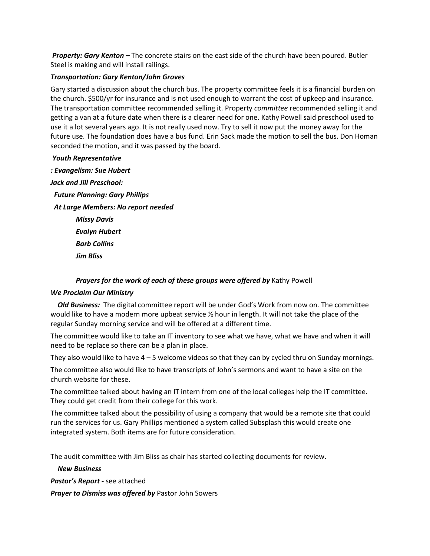*Property: Gary Kenton –* The concrete stairs on the east side of the church have been poured. Butler Steel is making and will install railings.

### *Transportation: Gary Kenton/John Groves*

Gary started a discussion about the church bus. The property committee feels it is a financial burden on the church. \$500/yr for insurance and is not used enough to warrant the cost of upkeep and insurance. The transportation committee recommended selling it. Property *committee* recommended selling it and getting a van at a future date when there is a clearer need for one. Kathy Powell said preschool used to use it a lot several years ago. It is not really used now. Try to sell it now put the money away for the future use. The foundation does have a bus fund. Erin Sack made the motion to sell the bus. Don Homan seconded the motion, and it was passed by the board.

### *Youth Representative*

*: Evangelism: Sue Hubert Jack and Jill Preschool: Future Planning: Gary Phillips At Large Members: No report needed Missy Davis Evalyn Hubert Barb Collins Jim Bliss*

### *Prayers for the work of each of these groups were offered by* Kathy Powell

### *We Proclaim Our Ministry*

 *Old Business:* The digital committee report will be under God's Work from now on. The committee would like to have a modern more upbeat service ½ hour in length. It will not take the place of the regular Sunday morning service and will be offered at a different time.

The committee would like to take an IT inventory to see what we have, what we have and when it will need to be replace so there can be a plan in place.

They also would like to have  $4 - 5$  welcome videos so that they can by cycled thru on Sunday mornings.

The committee also would like to have transcripts of John's sermons and want to have a site on the church website for these.

The committee talked about having an IT intern from one of the local colleges help the IT committee. They could get credit from their college for this work.

The committee talked about the possibility of using a company that would be a remote site that could run the services for us. Gary Phillips mentioned a system called Subsplash this would create one integrated system. Both items are for future consideration.

The audit committee with Jim Bliss as chair has started collecting documents for review.

#### *New Business*

*Pastor's Report -* see attached

*Prayer to Dismiss was offered by* Pastor John Sowers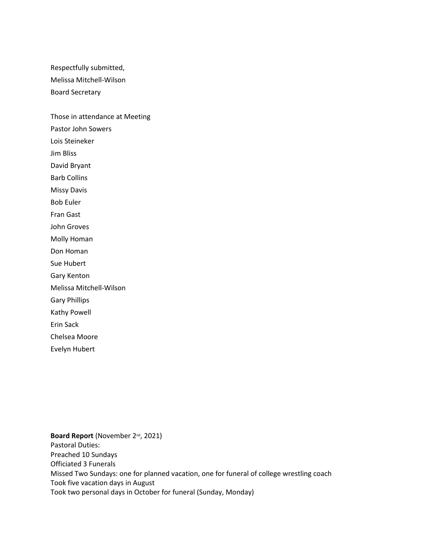Respectfully submitted, Melissa Mitchell-Wilson Board Secretary

Those in attendance at Meeting Pastor John Sowers Lois Steineker Jim Bliss David Bryant Barb Collins Missy Davis Bob Euler Fran Gast John Groves Molly Homan Don Homan

Sue Hubert

Gary Kenton

Melissa Mitchell-Wilson

Gary Phillips

Kathy Powell

Erin Sack

Chelsea Moore

Evelyn Hubert

Board Report (November 2<sup>nd</sup>, 2021) Pastoral Duties: Preached 10 Sundays Officiated 3 Funerals Missed Two Sundays: one for planned vacation, one for funeral of college wrestling coach Took five vacation days in August Took two personal days in October for funeral (Sunday, Monday)